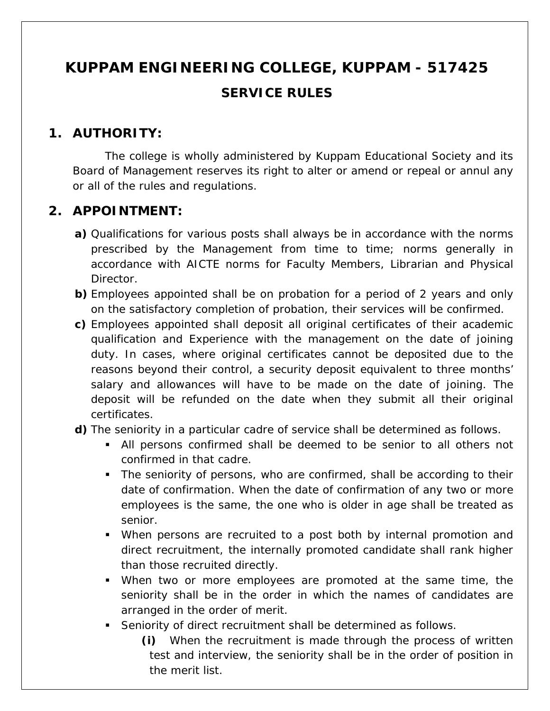# **KUPPAM ENGINEERING COLLEGE, KUPPAM - 517425 SERVICE RULES**

### **1. AUTHORITY:**

The college is wholly administered by Kuppam Educational Society and its Board of Management reserves its right to alter or amend or repeal or annul any or all of the rules and regulations.

### **2. APPOINTMENT:**

- **a)** Qualifications for various posts shall always be in accordance with the norms prescribed by the Management from time to time; norms generally in accordance with AICTE norms for Faculty Members, Librarian and Physical Director.
- **b)** Employees appointed shall be on probation for a period of 2 years and only on the satisfactory completion of probation, their services will be confirmed.
- **c)** Employees appointed shall deposit all original certificates of their academic qualification and Experience with the management on the date of joining duty. In cases, where original certificates cannot be deposited due to the reasons beyond their control, a security deposit equivalent to three months' salary and allowances will have to be made on the date of joining. The deposit will be refunded on the date when they submit all their original certificates.
- **d)** The seniority in a particular cadre of service shall be determined as follows.
	- All persons confirmed shall be deemed to be senior to all others not confirmed in that cadre.
	- The seniority of persons, who are confirmed, shall be according to their date of confirmation. When the date of confirmation of any two or more employees is the same, the one who is older in age shall be treated as senior.
	- When persons are recruited to a post both by internal promotion and direct recruitment, the internally promoted candidate shall rank higher than those recruited directly.
	- When two or more employees are promoted at the same time, the seniority shall be in the order in which the names of candidates are arranged in the order of merit.
	- Seniority of direct recruitment shall be determined as follows.
		- **(i)** When the recruitment is made through the process of written test and interview, the seniority shall be in the order of position in the merit list.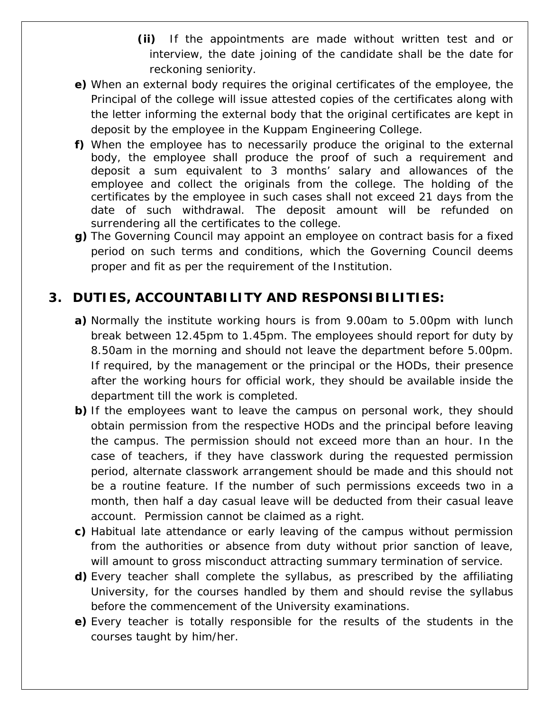- **(ii)** If the appointments are made without written test and or interview, the date joining of the candidate shall be the date for reckoning seniority.
- **e)** When an external body requires the original certificates of the employee, the Principal of the college will issue attested copies of the certificates along with the letter informing the external body that the original certificates are kept in deposit by the employee in the Kuppam Engineering College.
- **f)** When the employee has to necessarily produce the original to the external body, the employee shall produce the proof of such a requirement and deposit a sum equivalent to 3 months' salary and allowances of the employee and collect the originals from the college. The holding of the certificates by the employee in such cases shall not exceed 21 days from the date of such withdrawal. The deposit amount will be refunded on surrendering all the certificates to the college.
- **g)** The Governing Council may appoint an employee on contract basis for a fixed period on such terms and conditions, which the Governing Council deems proper and fit as per the requirement of the Institution.

# **3. DUTIES, ACCOUNTABILITY AND RESPONSIBILITIES:**

- **a)** Normally the institute working hours is from 9.00am to 5.00pm with lunch break between 12.45pm to 1.45pm. The employees should report for duty by 8.50am in the morning and should not leave the department before 5.00pm. If required, by the management or the principal or the HODs, their presence after the working hours for official work, they should be available inside the department till the work is completed.
- **b**) If the employees want to leave the campus on personal work, they should obtain permission from the respective HODs and the principal before leaving the campus. The permission should not exceed more than an hour. In the case of teachers, if they have classwork during the requested permission period, alternate classwork arrangement should be made and this should not be a routine feature. If the number of such permissions exceeds two in a month, then half a day casual leave will be deducted from their casual leave account. Permission cannot be claimed as a right.
- **c)** Habitual late attendance or early leaving of the campus without permission from the authorities or absence from duty without prior sanction of leave, will amount to gross misconduct attracting summary termination of service.
- **d)** Every teacher shall complete the syllabus, as prescribed by the affiliating University, for the courses handled by them and should revise the syllabus before the commencement of the University examinations.
- **e)** Every teacher is totally responsible for the results of the students in the courses taught by him/her.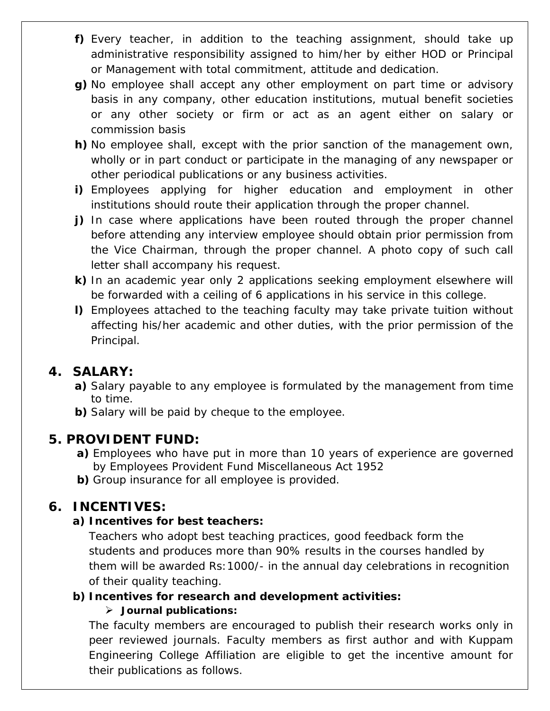- **f)** Every teacher, in addition to the teaching assignment, should take up administrative responsibility assigned to him/her by either HOD or Principal or Management with total commitment, attitude and dedication.
- **g)** No employee shall accept any other employment on part time or advisory basis in any company, other education institutions, mutual benefit societies or any other society or firm or act as an agent either on salary or commission basis
- **h)** No employee shall, except with the prior sanction of the management own, wholly or in part conduct or participate in the managing of any newspaper or other periodical publications or any business activities.
- **i)** Employees applying for higher education and employment in other institutions should route their application through the proper channel.
- **j)** In case where applications have been routed through the proper channel before attending any interview employee should obtain prior permission from the Vice Chairman, through the proper channel. A photo copy of such call letter shall accompany his request.
- **k)** In an academic year only 2 applications seeking employment elsewhere will be forwarded with a ceiling of 6 applications in his service in this college.
- **l)** Employees attached to the teaching faculty may take private tuition without affecting his/her academic and other duties, with the prior permission of the Principal.

### **4. SALARY:**

- **a)** Salary payable to any employee is formulated by the management from time to time.
- **b)** Salary will be paid by cheque to the employee.

#### **5. PROVIDENT FUND:**

- **a)** Employees who have put in more than 10 years of experience are governed by Employees Provident Fund Miscellaneous Act 1952
- **b)** Group insurance for all employee is provided.

#### **6. INCENTIVES:**

#### **a) Incentives for best teachers:**

Teachers who adopt best teaching practices, good feedback form the students and produces more than 90% results in the courses handled by them will be awarded Rs:1000/- in the annual day celebrations in recognition of their quality teaching.

#### **b) Incentives for research and development activities:**

#### **Journal publications:**

The faculty members are encouraged to publish their research works only in peer reviewed journals. Faculty members as first author and with Kuppam Engineering College Affiliation are eligible to get the incentive amount for their publications as follows.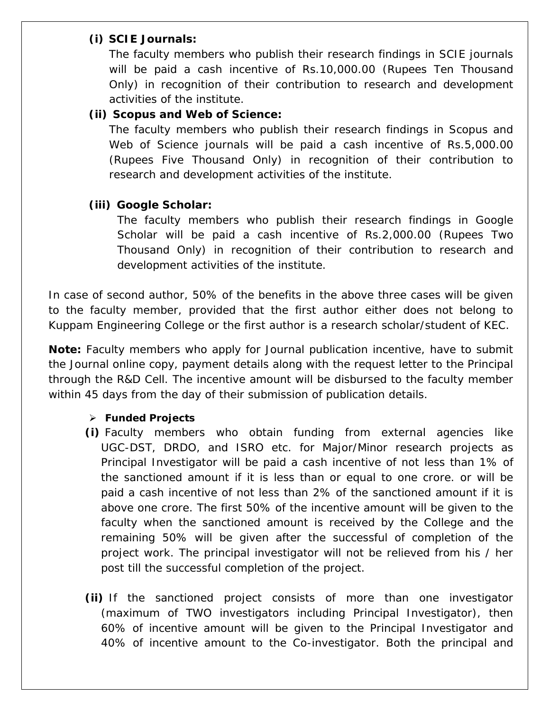#### **(i) SCIE Journals:**

The faculty members who publish their research findings in SCIE journals will be paid a cash incentive of Rs.10,000.00 (Rupees Ten Thousand Only) in recognition of their contribution to research and development activities of the institute.

#### **(ii) Scopus and Web of Science:**

The faculty members who publish their research findings in Scopus and Web of Science journals will be paid a cash incentive of Rs.5,000.00 (Rupees Five Thousand Only) in recognition of their contribution to research and development activities of the institute.

#### **(iii) Google Scholar:**

The faculty members who publish their research findings in Google Scholar will be paid a cash incentive of Rs.2,000.00 (Rupees Two Thousand Only) in recognition of their contribution to research and development activities of the institute.

In case of second author, 50% of the benefits in the above three cases will be given to the faculty member, provided that the first author either does not belong to Kuppam Engineering College or the first author is a research scholar/student of KEC.

**Note:** Faculty members who apply for Journal publication incentive, have to submit the Journal online copy, payment details along with the request letter to the Principal through the R&D Cell. The incentive amount will be disbursed to the faculty member within 45 days from the day of their submission of publication details.

#### **Funded Projects**

- **(i)** Faculty members who obtain funding from external agencies like UGC-DST, DRDO, and ISRO etc. for Major/Minor research projects as Principal Investigator will be paid a cash incentive of not less than 1% of the sanctioned amount if it is less than or equal to one crore. or will be paid a cash incentive of not less than 2% of the sanctioned amount if it is above one crore. The first 50% of the incentive amount will be given to the faculty when the sanctioned amount is received by the College and the remaining 50% will be given after the successful of completion of the project work. The principal investigator will not be relieved from his / her post till the successful completion of the project.
- **(ii)** If the sanctioned project consists of more than one investigator (maximum of TWO investigators including Principal Investigator), then 60% of incentive amount will be given to the Principal Investigator and 40% of incentive amount to the Co-investigator. Both the principal and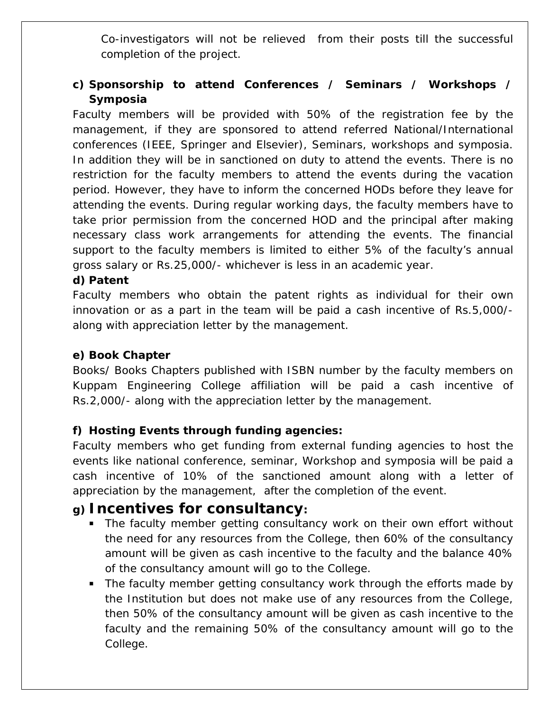Co-investigators will not be relieved from their posts till the successful completion of the project.

#### **c) Sponsorship to attend Conferences / Seminars / Workshops / Symposia**

Faculty members will be provided with 50% of the registration fee by the management, if they are sponsored to attend referred National/International conferences (IEEE, Springer and Elsevier), Seminars, workshops and symposia. In addition they will be in sanctioned on duty to attend the events. There is no restriction for the faculty members to attend the events during the vacation period. However, they have to inform the concerned HODs before they leave for attending the events. During regular working days, the faculty members have to take prior permission from the concerned HOD and the principal after making necessary class work arrangements for attending the events. The financial support to the faculty members is limited to either 5% of the faculty's annual gross salary or Rs.25,000/- whichever is less in an academic year.

#### **d) Patent**

Faculty members who obtain the patent rights as individual for their own innovation or as a part in the team will be paid a cash incentive of Rs.5,000/ along with appreciation letter by the management.

#### **e) Book Chapter**

Books/ Books Chapters published with ISBN number by the faculty members on Kuppam Engineering College affiliation will be paid a cash incentive of Rs.2,000/- along with the appreciation letter by the management.

#### **f) Hosting Events through funding agencies:**

Faculty members who get funding from external funding agencies to host the events like national conference, seminar, Workshop and symposia will be paid a cash incentive of 10% of the sanctioned amount along with a letter of appreciation by the management, after the completion of the event.

### **g) Incentives for consultancy:**

- **The faculty member getting consultancy work on their own effort without** the need for any resources from the College, then 60% of the consultancy amount will be given as cash incentive to the faculty and the balance 40% of the consultancy amount will go to the College.
- The faculty member getting consultancy work through the efforts made by the Institution but does not make use of any resources from the College, then 50% of the consultancy amount will be given as cash incentive to the faculty and the remaining 50% of the consultancy amount will go to the College.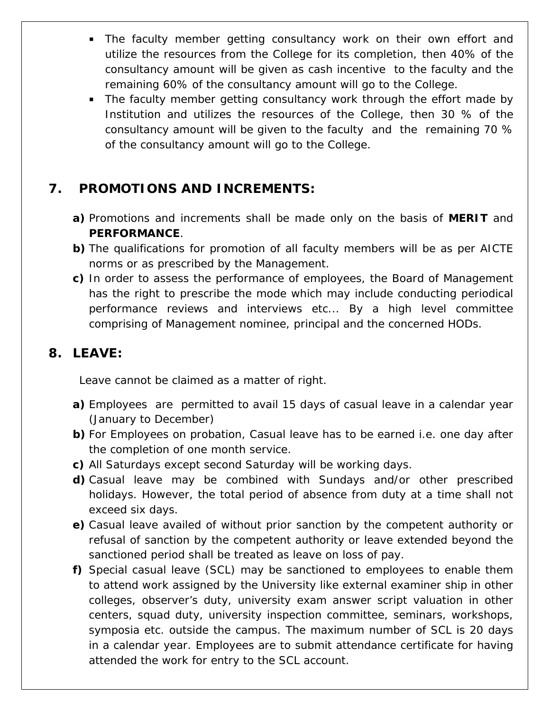- **The faculty member getting consultancy work on their own effort and** utilize the resources from the College for its completion, then 40% of the consultancy amount will be given as cash incentive to the faculty and the remaining 60% of the consultancy amount will go to the College.
- The faculty member getting consultancy work through the effort made by Institution and utilizes the resources of the College, then 30 % of the consultancy amount will be given to the faculty and the remaining 70 % of the consultancy amount will go to the College.

### **7. PROMOTIONS AND INCREMENTS:**

- **a)** Promotions and increments shall be made only on the basis of **MERIT** and **PERFORMANCE**.
- **b)** The qualifications for promotion of all faculty members will be as per AICTE norms or as prescribed by the Management.
- **c)** In order to assess the performance of employees, the Board of Management has the right to prescribe the mode which may include conducting periodical performance reviews and interviews etc... By a high level committee comprising of Management nominee, principal and the concerned HODs.

### **8. LEAVE:**

Leave cannot be claimed as a matter of right.

- **a)** Employees are permitted to avail 15 days of casual leave in a calendar year (January to December)
- **b)** For Employees on probation, Casual leave has to be earned i.e. one day after the completion of one month service.
- **c)** All Saturdays except second Saturday will be working days.
- **d)** Casual leave may be combined with Sundays and/or other prescribed holidays. However, the total period of absence from duty at a time shall not exceed six days.
- **e)** Casual leave availed of without prior sanction by the competent authority or refusal of sanction by the competent authority or leave extended beyond the sanctioned period shall be treated as leave on loss of pay.
- **f)** Special casual leave (SCL) may be sanctioned to employees to enable them to attend work assigned by the University like external examiner ship in other colleges, observer's duty, university exam answer script valuation in other centers, squad duty, university inspection committee, seminars, workshops, symposia etc. outside the campus. The maximum number of SCL is 20 days in a calendar year. Employees are to submit attendance certificate for having attended the work for entry to the SCL account.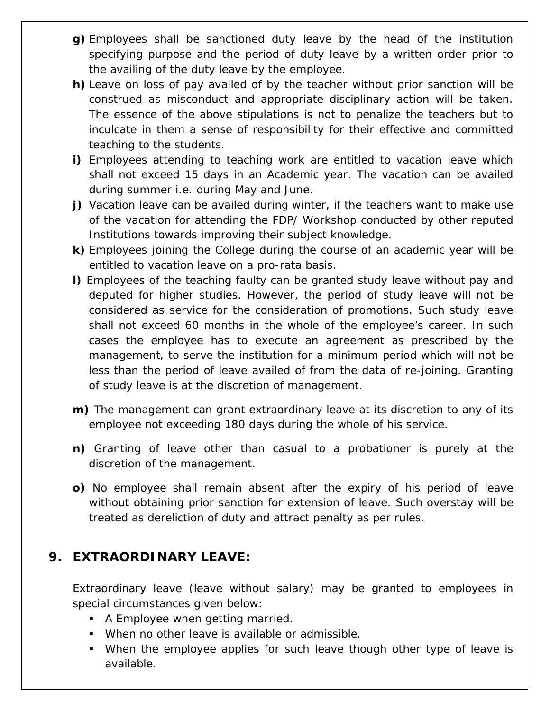- **g)** Employees shall be sanctioned duty leave by the head of the institution specifying purpose and the period of duty leave by a written order prior to the availing of the duty leave by the employee.
- **h)** Leave on loss of pay availed of by the teacher without prior sanction will be construed as misconduct and appropriate disciplinary action will be taken. The essence of the above stipulations is not to penalize the teachers but to inculcate in them a sense of responsibility for their effective and committed teaching to the students.
- **i)** Employees attending to teaching work are entitled to vacation leave which shall not exceed 15 days in an Academic year. The vacation can be availed during summer i.e. during May and June.
- **j)** Vacation leave can be availed during winter, if the teachers want to make use of the vacation for attending the FDP/ Workshop conducted by other reputed Institutions towards improving their subject knowledge.
- **k)** Employees joining the College during the course of an academic year will be entitled to vacation leave on a pro-rata basis.
- **l)** Employees of the teaching faulty can be granted study leave without pay and deputed for higher studies. However, the period of study leave will not be considered as service for the consideration of promotions. Such study leave shall not exceed 60 months in the whole of the employee's career. In such cases the employee has to execute an agreement as prescribed by the management, to serve the institution for a minimum period which will not be less than the period of leave availed of from the data of re-joining. Granting of study leave is at the discretion of management.
- **m)** The management can grant extraordinary leave at its discretion to any of its employee not exceeding 180 days during the whole of his service.
- **n)** Granting of leave other than casual to a probationer is purely at the discretion of the management.
- **o)** No employee shall remain absent after the expiry of his period of leave without obtaining prior sanction for extension of leave. Such overstay will be treated as dereliction of duty and attract penalty as per rules.

### **9. EXTRAORDINARY LEAVE:**

Extraordinary leave (leave without salary) may be granted to employees in special circumstances given below:

- **A Employee when getting married.**
- When no other leave is available or admissible.
- When the employee applies for such leave though other type of leave is available.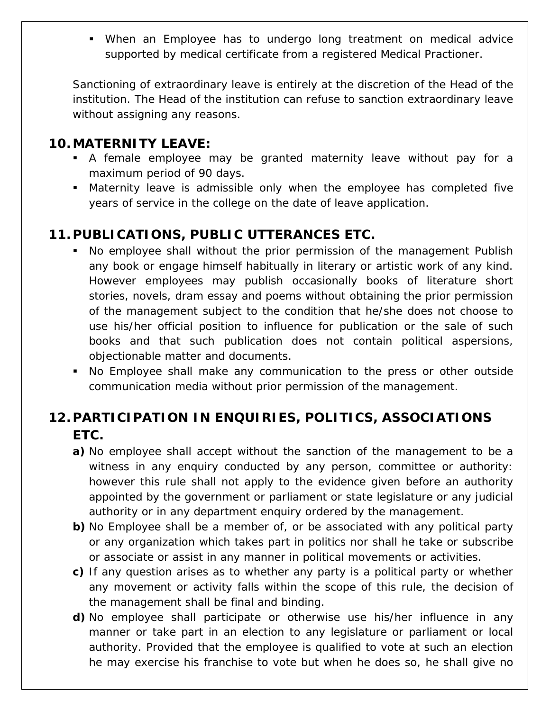When an Employee has to undergo long treatment on medical advice supported by medical certificate from a registered Medical Practioner.

Sanctioning of extraordinary leave is entirely at the discretion of the Head of the institution. The Head of the institution can refuse to sanction extraordinary leave without assigning any reasons.

#### **10.MATERNITY LEAVE:**

- A female employee may be granted maternity leave without pay for a maximum period of 90 days.
- Maternity leave is admissible only when the employee has completed five years of service in the college on the date of leave application.

### **11.PUBLICATIONS, PUBLIC UTTERANCES ETC.**

- No employee shall without the prior permission of the management Publish any book or engage himself habitually in literary or artistic work of any kind. However employees may publish occasionally books of literature short stories, novels, dram essay and poems without obtaining the prior permission of the management subject to the condition that he/she does not choose to use his/her official position to influence for publication or the sale of such books and that such publication does not contain political aspersions, objectionable matter and documents.
- No Employee shall make any communication to the press or other outside communication media without prior permission of the management.

# **12.PARTICIPATION IN ENQUIRIES, POLITICS, ASSOCIATIONS ETC.**

- **a)** No employee shall accept without the sanction of the management to be a witness in any enquiry conducted by any person, committee or authority: however this rule shall not apply to the evidence given before an authority appointed by the government or parliament or state legislature or any judicial authority or in any department enquiry ordered by the management.
- **b**) No Employee shall be a member of, or be associated with any political party or any organization which takes part in politics nor shall he take or subscribe or associate or assist in any manner in political movements or activities.
- **c)** If any question arises as to whether any party is a political party or whether any movement or activity falls within the scope of this rule, the decision of the management shall be final and binding.
- **d)** No employee shall participate or otherwise use his/her influence in any manner or take part in an election to any legislature or parliament or local authority. Provided that the employee is qualified to vote at such an election he may exercise his franchise to vote but when he does so, he shall give no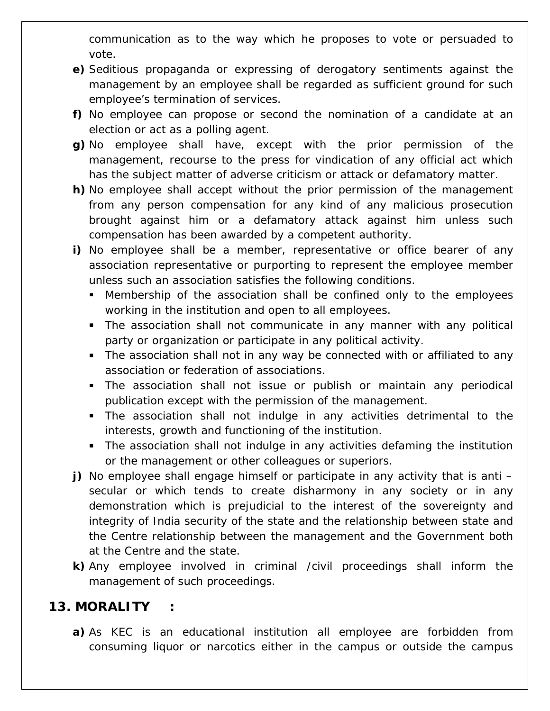communication as to the way which he proposes to vote or persuaded to vote.

- **e)** Seditious propaganda or expressing of derogatory sentiments against the management by an employee shall be regarded as sufficient ground for such employee's termination of services.
- **f)** No employee can propose or second the nomination of a candidate at an election or act as a polling agent.
- **g)** No employee shall have, except with the prior permission of the management, recourse to the press for vindication of any official act which has the subject matter of adverse criticism or attack or defamatory matter.
- **h)** No employee shall accept without the prior permission of the management from any person compensation for any kind of any malicious prosecution brought against him or a defamatory attack against him unless such compensation has been awarded by a competent authority.
- **i)** No employee shall be a member, representative or office bearer of any association representative or purporting to represent the employee member unless such an association satisfies the following conditions.
	- Membership of the association shall be confined only to the employees working in the institution and open to all employees.
	- **The association shall not communicate in any manner with any political** party or organization or participate in any political activity.
	- The association shall not in any way be connected with or affiliated to any association or federation of associations.
	- The association shall not issue or publish or maintain any periodical publication except with the permission of the management.
	- The association shall not indulge in any activities detrimental to the interests, growth and functioning of the institution.
	- The association shall not indulge in any activities defaming the institution or the management or other colleagues or superiors.
- **j)** No employee shall engage himself or participate in any activity that is anti secular or which tends to create disharmony in any society or in any demonstration which is prejudicial to the interest of the sovereignty and integrity of India security of the state and the relationship between state and the Centre relationship between the management and the Government both at the Centre and the state.
- **k)** Any employee involved in criminal /civil proceedings shall inform the management of such proceedings.

#### **13. MORALITY :**

**a)** As KEC is an educational institution all employee are forbidden from consuming liquor or narcotics either in the campus or outside the campus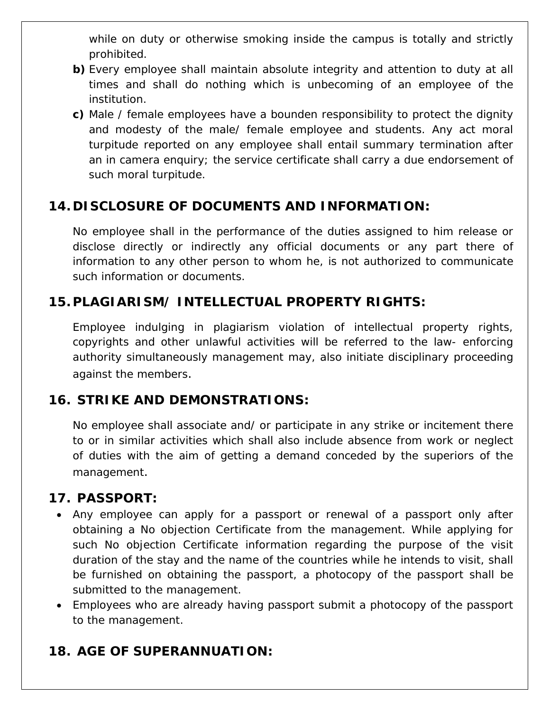while on duty or otherwise smoking inside the campus is totally and strictly prohibited.

- **b)** Every employee shall maintain absolute integrity and attention to duty at all times and shall do nothing which is unbecoming of an employee of the institution.
- **c)** Male / female employees have a bounden responsibility to protect the dignity and modesty of the male/ female employee and students. Any act moral turpitude reported on any employee shall entail summary termination after an in camera enquiry; the service certificate shall carry a due endorsement of such moral turpitude.

### **14. DISCLOSURE OF DOCUMENTS AND INFORMATION:**

No employee shall in the performance of the duties assigned to him release or disclose directly or indirectly any official documents or any part there of information to any other person to whom he, is not authorized to communicate such information or documents.

### **15.PLAGIARISM/ INTELLECTUAL PROPERTY RIGHTS:**

Employee indulging in plagiarism violation of intellectual property rights, copyrights and other unlawful activities will be referred to the law- enforcing authority simultaneously management may, also initiate disciplinary proceeding against the members.

#### **16. STRIKE AND DEMONSTRATIONS:**

No employee shall associate and/ or participate in any strike or incitement there to or in similar activities which shall also include absence from work or neglect of duties with the aim of getting a demand conceded by the superiors of the management.

#### **17. PASSPORT:**

- Any employee can apply for a passport or renewal of a passport only after obtaining a No objection Certificate from the management. While applying for such No objection Certificate information regarding the purpose of the visit duration of the stay and the name of the countries while he intends to visit, shall be furnished on obtaining the passport, a photocopy of the passport shall be submitted to the management.
- Employees who are already having passport submit a photocopy of the passport to the management.

### **18. AGE OF SUPERANNUATION:**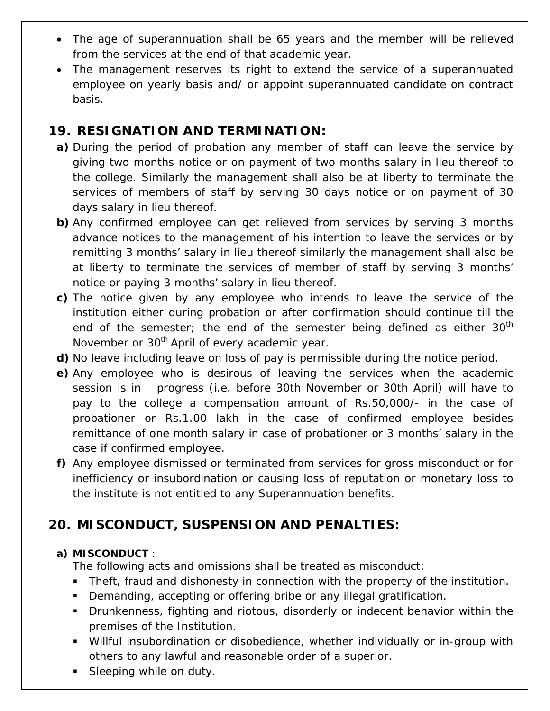- The age of superannuation shall be 65 years and the member will be relieved from the services at the end of that academic year.
- The management reserves its right to extend the service of a superannuated employee on yearly basis and/ or appoint superannuated candidate on contract basis.

### **19. RESIGNATION AND TERMINATION:**

- **a)** During the period of probation any member of staff can leave the service by giving two months notice or on payment of two months salary in lieu thereof to the college. Similarly the management shall also be at liberty to terminate the services of members of staff by serving 30 days notice or on payment of 30 days salary in lieu thereof.
- **b)** Any confirmed employee can get relieved from services by serving 3 months advance notices to the management of his intention to leave the services or by remitting 3 months' salary in lieu thereof similarly the management shall also be at liberty to terminate the services of member of staff by serving 3 months' notice or paying 3 months' salary in lieu thereof.
- **c)** The notice given by any employee who intends to leave the service of the institution either during probation or after confirmation should continue till the end of the semester; the end of the semester being defined as either  $30<sup>th</sup>$ November or 30<sup>th</sup> April of every academic year.
- **d)** No leave including leave on loss of pay is permissible during the notice period.
- **e)** Any employee who is desirous of leaving the services when the academic session is in progress (i.e. before 30th November or 30th April) will have to pay to the college a compensation amount of Rs.50,000/- in the case of probationer or Rs.1.00 lakh in the case of confirmed employee besides remittance of one month salary in case of probationer or 3 months' salary in the case if confirmed employee.
- **f)** Any employee dismissed or terminated from services for gross misconduct or for inefficiency or insubordination or causing loss of reputation or monetary loss to the institute is not entitled to any Superannuation benefits.

# **20. MISCONDUCT, SUSPENSION AND PENALTIES:**

#### **a) MISCONDUCT** :

The following acts and omissions shall be treated as misconduct:

- Theft, fraud and dishonesty in connection with the property of the institution.
- Demanding, accepting or offering bribe or any illegal gratification.
- Drunkenness, fighting and riotous, disorderly or indecent behavior within the premises of the Institution.
- Willful insubordination or disobedience, whether individually or in-group with others to any lawful and reasonable order of a superior.
- **Sleeping while on duty.**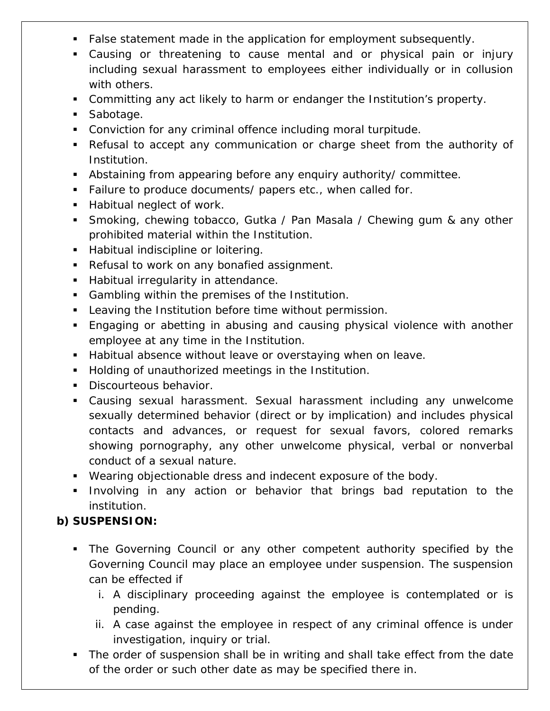- **False statement made in the application for employment subsequently.**
- Causing or threatening to cause mental and or physical pain or injury including sexual harassment to employees either individually or in collusion with others.
- Committing any act likely to harm or endanger the Institution's property.
- **Sabotage.**
- Conviction for any criminal offence including moral turpitude.
- Refusal to accept any communication or charge sheet from the authority of Institution.
- Abstaining from appearing before any enquiry authority/ committee.
- **Failure to produce documents/ papers etc., when called for.**
- **Habitual neglect of work.**
- Smoking, chewing tobacco, Gutka / Pan Masala / Chewing gum & any other prohibited material within the Institution.
- **Habitual indiscipline or loitering.**
- Refusal to work on any bonafied assignment.
- **Habitual irregularity in attendance.**
- **Gambling within the premises of the Institution.**
- **Leaving the Institution before time without permission.**
- Engaging or abetting in abusing and causing physical violence with another employee at any time in the Institution.
- Habitual absence without leave or overstaying when on leave.
- **Holding of unauthorized meetings in the Institution.**
- **Discourteous behavior.**
- Causing sexual harassment. Sexual harassment including any unwelcome sexually determined behavior (direct or by implication) and includes physical contacts and advances, or request for sexual favors, colored remarks showing pornography, any other unwelcome physical, verbal or nonverbal conduct of a sexual nature.
- Wearing objectionable dress and indecent exposure of the body.
- **Involving in any action or behavior that brings bad reputation to the** institution.

### **b) SUSPENSION:**

- The Governing Council or any other competent authority specified by the Governing Council may place an employee under suspension. The suspension can be effected if
	- i. A disciplinary proceeding against the employee is contemplated or is pending.
	- ii. A case against the employee in respect of any criminal offence is under investigation, inquiry or trial.
- The order of suspension shall be in writing and shall take effect from the date of the order or such other date as may be specified there in.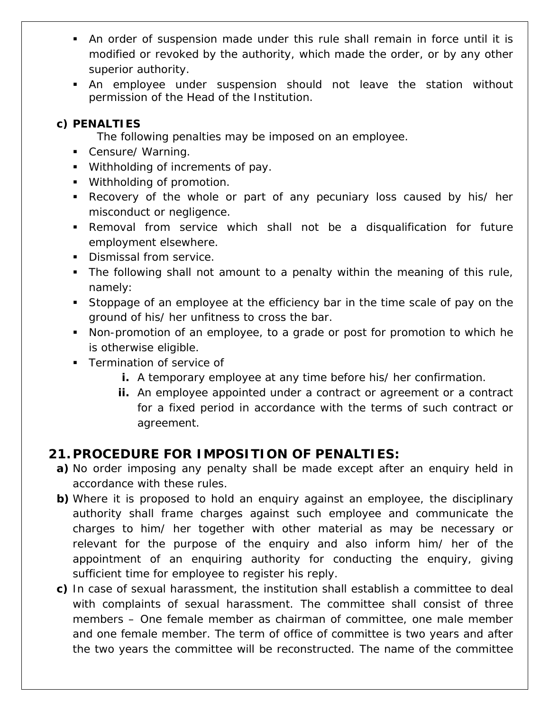- An order of suspension made under this rule shall remain in force until it is modified or revoked by the authority, which made the order, or by any other superior authority.
- An employee under suspension should not leave the station without permission of the Head of the Institution.

#### **c) PENALTIES**

The following penalties may be imposed on an employee.

- **Censure/ Warning.**
- Withholding of increments of pay.
- **Withholding of promotion.**
- Recovery of the whole or part of any pecuniary loss caused by his/ her misconduct or negligence.
- Removal from service which shall not be a disqualification for future employment elsewhere.
- **Dismissal from service.**
- The following shall not amount to a penalty within the meaning of this rule, namely:
- Stoppage of an employee at the efficiency bar in the time scale of pay on the ground of his/ her unfitness to cross the bar.
- Non-promotion of an employee, to a grade or post for promotion to which he is otherwise eligible.
- **Termination of service of** 
	- **i.** A temporary employee at any time before his/ her confirmation.
	- **ii.** An employee appointed under a contract or agreement or a contract for a fixed period in accordance with the terms of such contract or agreement.

### **21.PROCEDURE FOR IMPOSITION OF PENALTIES:**

- **a)** No order imposing any penalty shall be made except after an enquiry held in accordance with these rules.
- **b)** Where it is proposed to hold an enquiry against an employee, the disciplinary authority shall frame charges against such employee and communicate the charges to him/ her together with other material as may be necessary or relevant for the purpose of the enquiry and also inform him/ her of the appointment of an enquiring authority for conducting the enquiry, giving sufficient time for employee to register his reply.
- **c)** In case of sexual harassment, the institution shall establish a committee to deal with complaints of sexual harassment. The committee shall consist of three members – One female member as chairman of committee, one male member and one female member. The term of office of committee is two years and after the two years the committee will be reconstructed. The name of the committee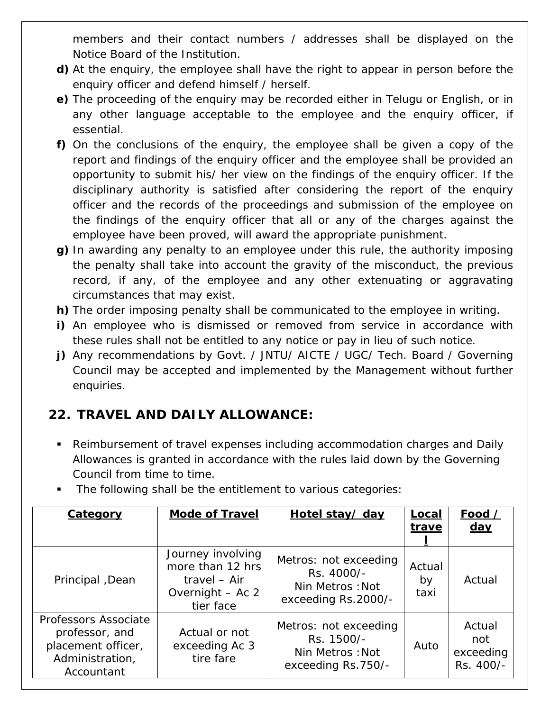members and their contact numbers / addresses shall be displayed on the Notice Board of the Institution.

- **d)** At the enquiry, the employee shall have the right to appear in person before the enquiry officer and defend himself / herself.
- **e)** The proceeding of the enquiry may be recorded either in Telugu or English, or in any other language acceptable to the employee and the enquiry officer, if essential.
- **f)** On the conclusions of the enquiry, the employee shall be given a copy of the report and findings of the enquiry officer and the employee shall be provided an opportunity to submit his/ her view on the findings of the enquiry officer. If the disciplinary authority is satisfied after considering the report of the enquiry officer and the records of the proceedings and submission of the employee on the findings of the enquiry officer that all or any of the charges against the employee have been proved, will award the appropriate punishment.
- **g)** In awarding any penalty to an employee under this rule, the authority imposing the penalty shall take into account the gravity of the misconduct, the previous record, if any, of the employee and any other extenuating or aggravating circumstances that may exist.
- **h)** The order imposing penalty shall be communicated to the employee in writing.
- **i)** An employee who is dismissed or removed from service in accordance with these rules shall not be entitled to any notice or pay in lieu of such notice.
- **j)** Any recommendations by Govt. / JNTU/ AICTE / UGC/ Tech. Board / Governing Council may be accepted and implemented by the Management without further enquiries.

# **22. TRAVEL AND DAILY ALLOWANCE:**

- Reimbursement of travel expenses including accommodation charges and Daily Allowances is granted in accordance with the rules laid down by the Governing Council from time to time.
- The following shall be the entitlement to various categories:

| <b>Category</b>                                                                               | <b>Mode of Travel</b>                                                                  | Hotel stay/ day                                                               | Local<br>trave       | Food /<br><u>day</u>                    |
|-----------------------------------------------------------------------------------------------|----------------------------------------------------------------------------------------|-------------------------------------------------------------------------------|----------------------|-----------------------------------------|
| Principal, Dean                                                                               | Journey involving<br>more than 12 hrs<br>travel - Air<br>Overnight - Ac 2<br>tier face | Metros: not exceeding<br>Rs. 4000/-<br>Nin Metros: Not<br>exceeding Rs.2000/- | Actual<br>by<br>taxi | Actual                                  |
| Professors Associate<br>professor, and<br>placement officer,<br>Administration,<br>Accountant | Actual or not<br>exceeding Ac 3<br>tire fare                                           | Metros: not exceeding<br>Rs. 1500/-<br>Nin Metros: Not<br>exceeding Rs.750/-  | Auto                 | Actual<br>not<br>exceeding<br>Rs. 400/- |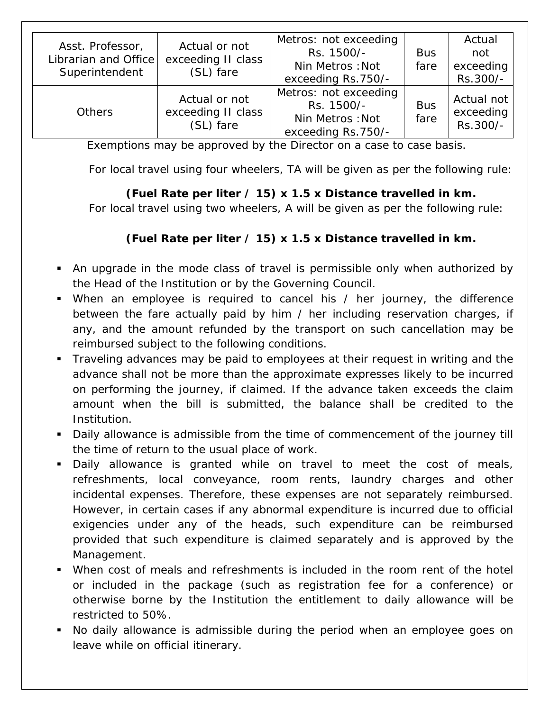| Asst. Professor,<br>Librarian and Office<br>Superintendent | Actual or not<br>exceeding II class<br>(SL) fare | Metros: not exceeding<br>Rs. 1500/-<br>Nin Metros: Not<br>exceeding Rs.750/- | <b>Bus</b><br>fare | Actual<br>not<br>exceeding<br>Rs.300/- |
|------------------------------------------------------------|--------------------------------------------------|------------------------------------------------------------------------------|--------------------|----------------------------------------|
| <b>Others</b>                                              | Actual or not<br>exceeding II class<br>(SL) fare | Metros: not exceeding<br>Rs. 1500/-<br>Nin Metros: Not<br>exceeding Rs.750/- | <b>Bus</b><br>fare | Actual not<br>exceeding<br>Rs.300/-    |

Exemptions may be approved by the Director on a case to case basis.

For local travel using four wheelers, TA will be given as per the following rule:

#### **(Fuel Rate per liter / 15) x 1.5 x Distance travelled in km.**

For local travel using two wheelers, A will be given as per the following rule:

#### **(Fuel Rate per liter / 15) x 1.5 x Distance travelled in km.**

- An upgrade in the mode class of travel is permissible only when authorized by the Head of the Institution or by the Governing Council.
- When an employee is required to cancel his / her journey, the difference between the fare actually paid by him / her including reservation charges, if any, and the amount refunded by the transport on such cancellation may be reimbursed subject to the following conditions.
- Traveling advances may be paid to employees at their request in writing and the advance shall not be more than the approximate expresses likely to be incurred on performing the journey, if claimed. If the advance taken exceeds the claim amount when the bill is submitted, the balance shall be credited to the Institution.
- Daily allowance is admissible from the time of commencement of the journey till the time of return to the usual place of work.
- Daily allowance is granted while on travel to meet the cost of meals, refreshments, local conveyance, room rents, laundry charges and other incidental expenses. Therefore, these expenses are not separately reimbursed. However, in certain cases if any abnormal expenditure is incurred due to official exigencies under any of the heads, such expenditure can be reimbursed provided that such expenditure is claimed separately and is approved by the Management.
- When cost of meals and refreshments is included in the room rent of the hotel or included in the package (such as registration fee for a conference) or otherwise borne by the Institution the entitlement to daily allowance will be restricted to 50%.
- No daily allowance is admissible during the period when an employee goes on leave while on official itinerary.